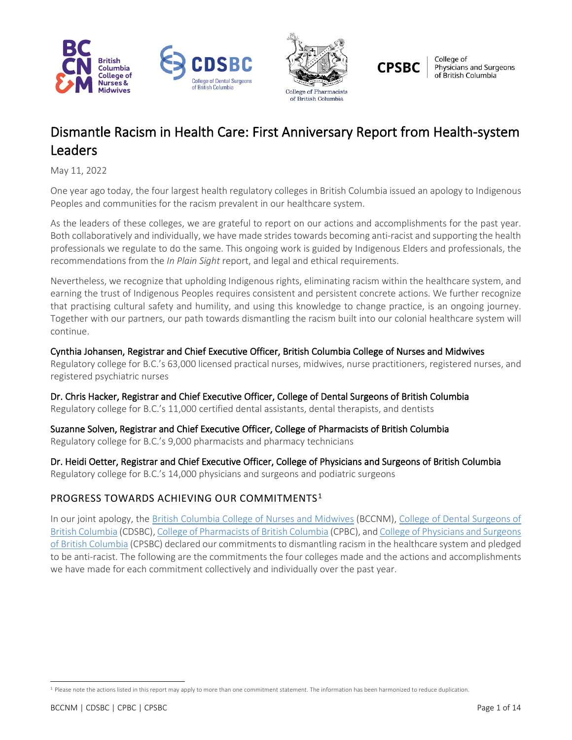



**CPSBC** 

College of Physicians and Surgeons<br>of British Columbia

# Dismantle Racism in Health Care: First Anniversary Report from Health-system Leaders

May 11, 2022

One year ago today, the four largest health regulatory colleges in British Columbia issued an apology to Indigenous Peoples and communities for the racism prevalent in our healthcare system.

As the leaders of these colleges, we are grateful to report on our actions and accomplishments for the past year. Both collaboratively and individually, we have made strides towards becoming anti-racist and supporting the health professionals we regulate to do the same. This ongoing work is guided by Indigenous Elders and professionals, the recommendations from the *In Plain Sight* report, and legal and ethical requirements.

Nevertheless, we recognize that upholding Indigenous rights, eliminating racism within the healthcare system, and earning the trust of Indigenous Peoples requires consistent and persistent concrete actions. We further recognize that practising cultural safety and humility, and using this knowledge to change practice, is an ongoing journey. Together with our partners, our path towards dismantling the racism built into our colonial healthcare system will continue.

Cynthia Johansen, Registrar and Chief Executive Officer, British Columbia College of Nurses and Midwives Regulatory college for B.C.'s 63,000 licensed practical nurses, midwives, nurse practitioners, registered nurses, and registered psychiatric nurses

Dr. Chris Hacker, Registrar and Chief Executive Officer, College of Dental Surgeons of British Columbia Regulatory college for B.C.'s 11,000 certified dental assistants, dental therapists, and dentists

Suzanne Solven, Registrar and Chief Executive Officer, College of Pharmacists of British Columbia Regulatory college for B.C.'s 9,000 pharmacists and pharmacy technicians

Dr. Heidi Oetter, Registrar and Chief Executive Officer, College of Physicians and Surgeons of British Columbia Regulatory college for B.C.'s 14,000 physicians and surgeons and podiatric surgeons

# PROGRESS TOWARDS ACHIEVING OUR COMMITMENTS<sup>[1](#page-0-0)</sup>

In our joint apology, the [British Columbia College of Nurses and Midwives](https://www.bccnm.ca/Pages/Default.aspx) (BCCNM), [College of Dental Surgeons of](https://www.cdsbc.org/)  [British Columbia](https://www.cdsbc.org/) (CDSBC)[, College of Pharmacists of British Columbia](https://www.bcpharmacists.org/) (CPBC), an[d College of Physicians and Surgeons](https://www.cpsbc.ca/)  [of British Columbia](https://www.cpsbc.ca/) (CPSBC) declared our commitments to dismantling racism in the healthcare system and pledged to be anti-racist. The following are the commitments the four colleges made and the actions and accomplishments we have made for each commitment collectively and individually over the past year.

<span id="page-0-0"></span><sup>&</sup>lt;sup>1</sup> Please note the actions listed in this report may apply to more than one commitment statement. The information has been harmonized to reduce duplication.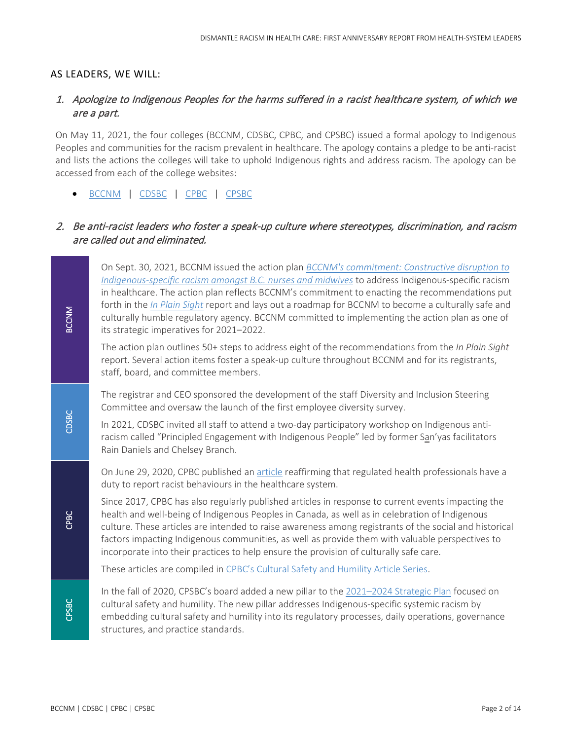#### AS LEADERS, WE WILL:

# 1. Apologize to Indigenous Peoples for the harms suffered in a racist healthcare system, of which we are a part.

On May 11, 2021, the four colleges (BCCNM, CDSBC, CPBC, and CPSBC) issued a formal apology to Indigenous Peoples and communities for the racism prevalent in healthcare. The apology contains a pledge to be anti-racist and lists the actions the colleges will take to uphold Indigenous rights and address racism. The apology can be accessed from each of the college websites:

• [BCCNM](https://www.bccnm.ca/bccnm/Announcements/Pages/Announcement.aspx?AnnouncementID=267) | [CDSBC](https://www.cdsbc.org/Pages/Racism-in-Health-Care-An-Apology-to-Indigenous-People-and-a-Pledge-to-Be-Anti-Racist.aspx) | [CPBC](https://www.bcpharmacists.org/news/racism-health-care-apology-indigenous-people-and-pledge-be-anti-racist) | [CPSBC](https://www.cpsbc.ca/files/pdf/Joint-Statement-on-Racism-in-Health-Care-2021-05-11.pdf)

#### 2. Be anti-racist leaders who foster a speak-up culture where stereotypes, discrimination, and racism are called out and eliminated.

On Sept. 30, 2021, BCCNM issued the action plan *[BCCNM's commitment: Constructive disruption to](https://www.bccnm.ca/Documents/cultural_safety_humility/Constructive_Disruption_BCCNM_Commitment_to_Action.pdf)  [Indigenous-specific racism amongst B.C.](https://www.bccnm.ca/Documents/cultural_safety_humility/Constructive_Disruption_BCCNM_Commitment_to_Action.pdf) nurses and midwives* to address Indigenous-specific racism in healthcare. The action plan reflects BCCNM's commitment to enacting the recommendations put forth in the *[In Plain Sight](https://engage.gov.bc.ca/addressingracism/)* report and lays out a roadmap for BCCNM to become a culturally safe and culturally humble regulatory agency. BCCNM committed to implementing the action plan as one of its strategic imperatives for 2021–2022.

The action plan outlines 50+ steps to address eight of the recommendations from the *In Plain Sight* report. Several action items foster a speak-up culture throughout BCCNM and for its registrants, staff, board, and committee members.

The registrar and CEO sponsored the development of the staff Diversity and Inclusion Steering Committee and oversaw the launch of the first employee diversity survey.

In 2021, CDSBC invited all staff to attend a two-day participatory workshop on Indigenous antiracism called "Principled Engagement with Indigenous People" led by former San'yas facilitators Rain Daniels and Chelsey Branch.

On June 29, 2020, CPBC published an [article](https://www.bcpharmacists.org/readlinks/regulated-health-professionals-have-duty-report-racist-behaviour-health-care-system) reaffirming that regulated health professionals have a duty to report racist behaviours in the healthcare system.

Since 2017, CPBC has also regularly published articles in response to current events impacting the health and well-being of Indigenous Peoples in Canada, as well as in celebration of Indigenous culture. These articles are intended to raise awareness among registrants of the social and historical factors impacting Indigenous communities, as well as provide them with valuable perspectives to incorporate into their practices to help ensure the provision of culturally safe care.

These articles are compiled in [CPBC's Cultural Safety and Humility Article Series.](https://www.bcpharmacists.org/readlinks-tags/cultural-safety-and-humility)

In the fall of 2020, CPSBC's board added a new pillar to the [2021–2024 Strategic Plan](https://www.cpsbc.ca/about/corporate/strategic-plan) focused on cultural safety and humility. The new pillar addresses Indigenous-specific systemic racism by embedding cultural safety and humility into its regulatory processes, daily operations, governance structures, and practice standards.

**BCCNM**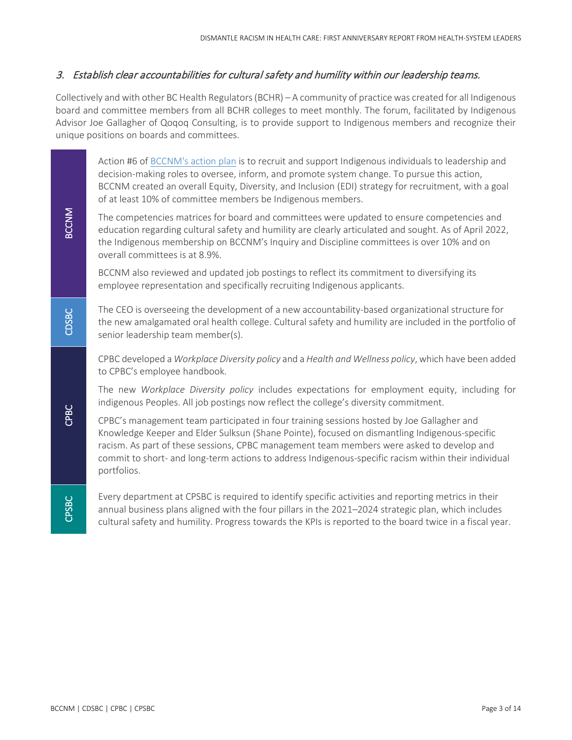#### 3. Establish clear accountabilities for cultural safety and humility within our leadership teams.

Collectively and with other BC Health Regulators (BCHR) – A community of practice was created for all Indigenous board and committee members from all BCHR colleges to meet monthly. The forum, facilitated by Indigenous Advisor Joe Gallagher of Qoqoq Consulting, is to provide support to Indigenous members and recognize their unique positions on boards and committees.

Action #6 of [BCCNM's action plan](https://www.bccnm.ca/Documents/cultural_safety_humility/Constructive_Disruption_BCCNM_Commitment_to_Action.pdf) is to recruit and support Indigenous individuals to leadership and decision-making roles to oversee, inform, and promote system change. To pursue this action, BCCNM created an overall Equity, Diversity, and Inclusion (EDI) strategy for recruitment, with a goal of at least 10% of committee members be Indigenous members.

The competencies matrices for board and committees were updated to ensure competencies and education regarding cultural safety and humility are clearly articulated and sought. As of April 2022, the Indigenous membership on BCCNM's Inquiry and Discipline committees is over 10% and on overall committees is at 8.9%.

BCCNM also reviewed and updated job postings to reflect its commitment to diversifying its employee representation and specifically recruiting Indigenous applicants.

The CEO is overseeing the development of a new accountability-based organizational structure for the new amalgamated oral health college. Cultural safety and humility are included in the portfolio of senior leadership team member(s).

CPBC developed a *Workplace Diversity policy* and a *Health and Wellness policy*, which have been added to CPBC's employee handbook.

The new *Workplace Diversity policy* includes expectations for employment equity, including for indigenous Peoples. All job postings now reflect the college's diversity commitment.

CPBC's management team participated in four training sessions hosted by Joe Gallagher and Knowledge Keeper and Elder Sulksun (Shane Pointe), focused on dismantling Indigenous-specific racism. As part of these sessions, CPBC management team members were asked to develop and commit to short- and long-term actions to address Indigenous-specific racism within their individual portfolios.

Every department at CPSBC is required to identify specific activities and reporting metrics in their annual business plans aligned with the four pillars in the 2021–2024 strategic plan, which includes cultural safety and humility. Progress towards the KPIs is reported to the board twice in a fiscal year.

CPBC

CPSBC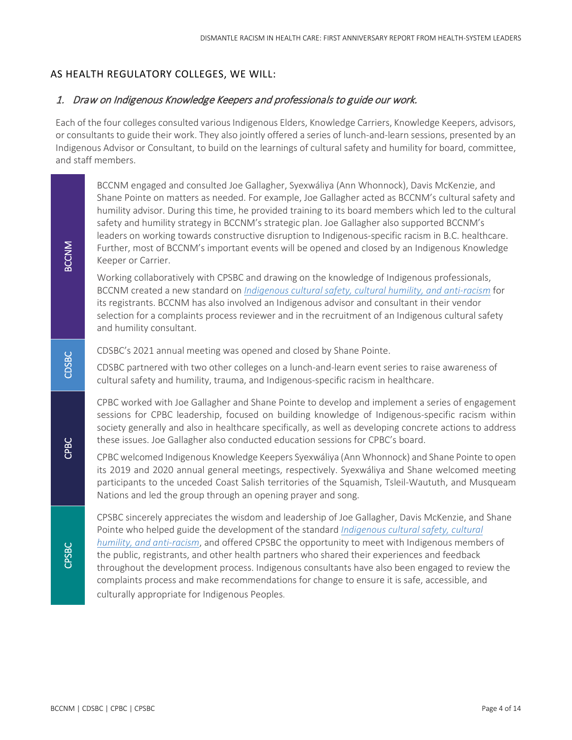#### AS HEALTH REGULATORY COLLEGES, WE WILL:

#### 1. Draw on Indigenous Knowledge Keepers and professionals to guide our work.

Each of the four colleges consulted various Indigenous Elders, Knowledge Carriers, Knowledge Keepers, advisors, or consultants to guide their work. They also jointly offered a series of lunch-and-learn sessions, presented by an Indigenous Advisor or Consultant, to build on the learnings of cultural safety and humility for board, committee, and staff members.

BCCNM engaged and consulted Joe Gallagher, Syexwáliya (Ann Whonnock), Davis McKenzie, and Shane Pointe on matters as needed. For example, Joe Gallagher acted as BCCNM's cultural safety and humility advisor. During this time, he provided training to its board members which led to the cultural safety and humility strategy in BCCNM's strategic plan. Joe Gallagher also supported BCCNM's leaders on working towards constructive disruption to Indigenous-specific racism in B.C. healthcare. Further, most of BCCNM's important events will be opened and closed by an Indigenous Knowledge Keeper or Carrier.

Working collaboratively with CPSBC and drawing on the knowledge of Indigenous professionals, BCCNM created a new standard on *[Indigenous cultural safety, cultural humility, and anti-racism](https://www.bccnm.ca/Documents/cultural_safety_humility/All_PS_cultural_safety_humility.pdf)* for its registrants. BCCNM has also involved an Indigenous advisor and consultant in their vendor selection for a complaints process reviewer and in the recruitment of an Indigenous cultural safety and humility consultant.

CDSBC's 2021 annual meeting was opened and closed by Shane Pointe.

CDSBC partnered with two other colleges on a lunch-and-learn event series to raise awareness of cultural safety and humility, trauma, and Indigenous-specific racism in healthcare.

CPBC worked with Joe Gallagher and Shane Pointe to develop and implement a series of engagement sessions for CPBC leadership, focused on building knowledge of Indigenous-specific racism within society generally and also in healthcare specifically, as well as developing concrete actions to address these issues. Joe Gallagher also conducted education sessions for CPBC's board.

CPBC welcomed Indigenous Knowledge Keepers Syexwáliya (Ann Whonnock) and Shane Pointe to open its 2019 and 2020 annual general meetings, respectively. Syexwáliya and Shane welcomed meeting participants to the unceded Coast Salish territories of the Squamish, Tsleil-Waututh, and Musqueam Nations and led the group through an opening prayer and song.

CPSBC sincerely appreciates the wisdom and leadership of Joe Gallagher, Davis McKenzie, and Shane Pointe who helped guide the development of the standard *[Indigenous cultural safety, cultural](https://www.bccnm.ca/Documents/cultural_safety_humility/All_PS_cultural_safety_humility.pdf)  [humility, and anti-racism](https://www.bccnm.ca/Documents/cultural_safety_humility/All_PS_cultural_safety_humility.pdf)*, and offered CPSBC the opportunity to meet with Indigenous members of the public, registrants, and other health partners who shared their experiences and feedback throughout the development process. Indigenous consultants have also been engaged to review the complaints process and make recommendations for change to ensure it is safe, accessible, and culturally appropriate for Indigenous Peoples.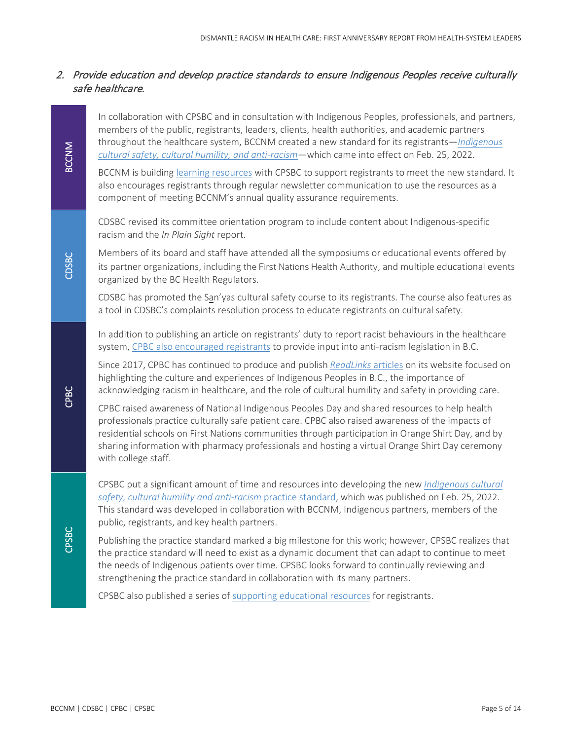# 2. Provide education and develop practice standards to ensure Indigenous Peoples receive culturally safe healthcare.

In collaboration with CPSBC and in consultation with Indigenous Peoples, professionals, and partners, members of the public, registrants, leaders, clients, health authorities, and academic partners throughout the healthcare system, BCCNM created a new standard for its registrants—*[Indigenous](https://www.bccnm.ca/Documents/cultural_safety_humility/All_PS_cultural_safety_humility.pdf)  [cultural safety, cultural humility, and anti-racism](https://www.bccnm.ca/Documents/cultural_safety_humility/All_PS_cultural_safety_humility.pdf)*—which came into effect on Feb. 25, 2022.

BCCNM is buildin[g learning resources](https://www.bccnm.ca/RM/learning/cultural_safety_humility/Pages/Default.aspx) with CPSBC to support registrants to meet the new standard. It also encourages registrants through regular newsletter communication to use the resources as a component of meeting BCCNM's annual quality assurance requirements.

CDSBC revised its committee orientation program to include content about Indigenous-specific racism and the *In Plain Sight* report.

Members of its board and staff have attended all the symposiums or educational events offered by its partner organizations, including the First Nations Health Authority, and multiple educational events organized by the BC Health Regulators.

CDSBC has promoted the San'yas cultural safety course to its registrants. The course also features as a tool in CDSBC's complaints resolution process to educate registrants on cultural safety.

In addition to publishing an article on registrants' duty to report racist behaviours in the healthcare system[, CPBC also encouraged registrants](https://www.bcpharmacists.org/readlinks/help-shape-bcs-anti-racism-data-legislation) to provide input into anti-racism legislation in B.C.

Since 2017, CPBC has continued to produce and publish *[ReadLinks](https://www.bcpharmacists.org/readlinks-tags/cultural-safety-and-humility)* articles on its website focused on highlighting the culture and experiences of Indigenous Peoples in B.C., the importance of acknowledging racism in healthcare, and the role of cultural humility and safety in providing care.

CPBC raised awareness of National Indigenous Peoples Day and shared resources to help health professionals practice culturally safe patient care. CPBC also raised awareness of the impacts of residential schools on First Nations communities through participation in Orange Shirt Day, and by sharing information with pharmacy professionals and hosting a virtual Orange Shirt Day ceremony with college staff.

CPSBC put a significant amount of time and resources into developing the new *[Indigenous cultural](https://www.cpsbc.ca/files/pdf/PSG-Indigenous-Cultural-Safety-Cultural-Humility-and-Anti-racism.pdf)  [safety, cultural humility and anti-racism](https://www.cpsbc.ca/files/pdf/PSG-Indigenous-Cultural-Safety-Cultural-Humility-and-Anti-racism.pdf)* practice standard, which was published on Feb. 25, 2022. This standard was developed in collaboration with BCCNM, Indigenous partners, members of the public, registrants, and key health partners.

Publishing the practice standard marked a big milestone for this work; however, CPSBC realizes that the practice standard will need to exist as a dynamic document that can adapt to continue to meet the needs of Indigenous patients over time. CPSBC looks forward to continually reviewing and strengthening the practice standard in collaboration with its many partners.

CPSBC also published a series of [supporting educational resources](https://www.cpsbc.ca/about/corporate/cultural-safety-and-humility/learning-resources) for registrants.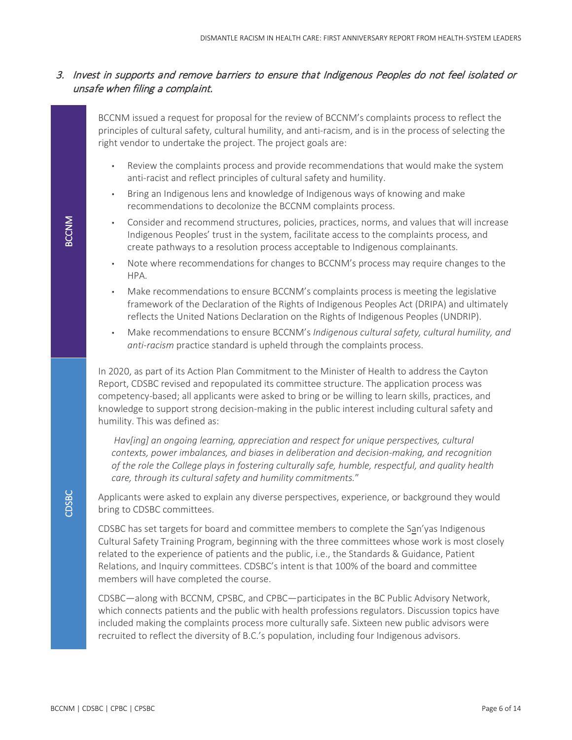#### 3. Invest in supports and remove barriers to ensure that Indigenous Peoples do not feel isolated or unsafe when filing a complaint.

BCCNM issued a request for proposal for the review of BCCNM's complaints process to reflect the principles of cultural safety, cultural humility, and anti-racism, and is in the process of selecting the right vendor to undertake the project. The project goals are:

- Review the complaints process and provide recommendations that would make the system anti-racist and reflect principles of cultural safety and humility.
- Bring an Indigenous lens and knowledge of Indigenous ways of knowing and make recommendations to decolonize the BCCNM complaints process.
- Consider and recommend structures, policies, practices, norms, and values that will increase Indigenous Peoples' trust in the system, facilitate access to the complaints process, and create pathways to a resolution process acceptable to Indigenous complainants.
- Note where recommendations for changes to BCCNM's process may require changes to the HPA.
- Make recommendations to ensure BCCNM's complaints process is meeting the legislative framework of the Declaration of the Rights of Indigenous Peoples Act (DRIPA) and ultimately reflects the United Nations Declaration on the Rights of Indigenous Peoples (UNDRIP).
- Make recommendations to ensure BCCNM's *Indigenous cultural safety, cultural humility, and anti-racism* practice standard is upheld through the complaints process.

In 2020, as part of its Action Plan Commitment to the Minister of Health to address the Cayton Report, CDSBC revised and repopulated its committee structure. The application process was competency-based; all applicants were asked to bring or be willing to learn skills, practices, and knowledge to support strong decision-making in the public interest including cultural safety and humility. This was defined as:

*Hav[ing] an ongoing learning, appreciation and respect for unique perspectives, cultural contexts, power imbalances, and biases in deliberation and decision-making, and recognition of the role the College plays in fostering culturally safe, humble, respectful, and quality health care, through its cultural safety and humility commitments.*"

Applicants were asked to explain any diverse perspectives, experience, or background they would bring to CDSBC committees.

CDSBC has set targets for board and committee members to complete the San'yas Indigenous Cultural Safety Training Program, beginning with the three committees whose work is most closely related to the experience of patients and the public, i.e., the Standards & Guidance, Patient Relations, and Inquiry committees. CDSBC's intent is that 100% of the board and committee members will have completed the course.

CDSBC—along with BCCNM, CPSBC, and CPBC—participates in the BC Public Advisory Network, which connects patients and the public with health professions regulators. Discussion topics have included making the complaints process more culturally safe. Sixteen new public advisors were recruited to reflect the diversity of B.C.'s population, including four Indigenous advisors.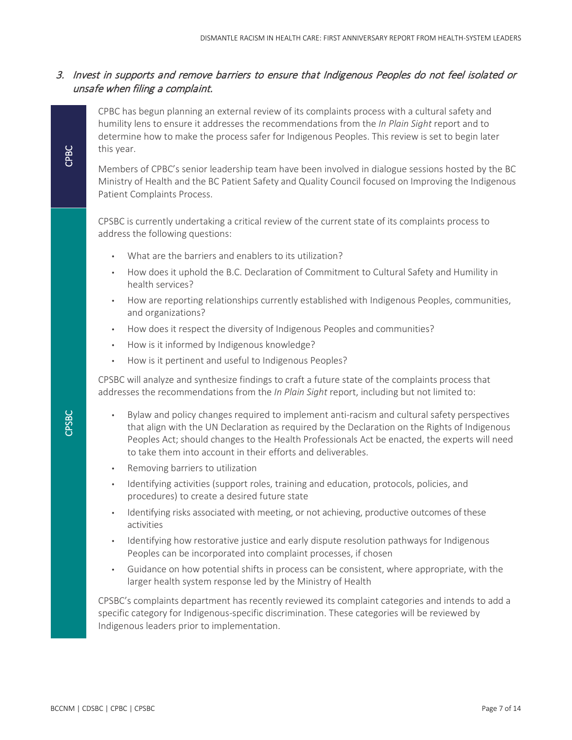# 3. Invest in supports and remove barriers to ensure that Indigenous Peoples do not feel isolated or unsafe when filing a complaint.

CPBC has begun planning an external review of its complaints process with a cultural safety and humility lens to ensure it addresses the recommendations from the *In Plain Sight* report and to determine how to make the process safer for Indigenous Peoples. This review is set to begin later this year.

Members of CPBC's senior leadership team have been involved in dialogue sessions hosted by the BC Ministry of Health and the BC Patient Safety and Quality Council focused on Improving the Indigenous Patient Complaints Process.

CPSBC is currently undertaking a critical review of the current state of its complaints process to address the following questions:

- What are the barriers and enablers to its utilization?
- How does it uphold the B.C. Declaration of Commitment to Cultural Safety and Humility in health services?
- How are reporting relationships currently established with Indigenous Peoples, communities, and organizations?
- How does it respect the diversity of Indigenous Peoples and communities?
- How is it informed by Indigenous knowledge?
- How is it pertinent and useful to Indigenous Peoples?

CPSBC will analyze and synthesize findings to craft a future state of the complaints process that addresses the recommendations from the *In Plain Sight* report, including but not limited to:

- Bylaw and policy changes required to implement anti-racism and cultural safety perspectives that align with the UN Declaration as required by the Declaration on the Rights of Indigenous Peoples Act; should changes to the Health Professionals Act be enacted, the experts will need to take them into account in their efforts and deliverables.
- Removing barriers to utilization
- Identifying activities (support roles, training and education, protocols, policies, and procedures) to create a desired future state
- Identifying risks associated with meeting, or not achieving, productive outcomes of these activities
- Identifying how restorative justice and early dispute resolution pathways for Indigenous Peoples can be incorporated into complaint processes, if chosen
- Guidance on how potential shifts in process can be consistent, where appropriate, with the larger health system response led by the Ministry of Health

CPSBC's complaints department has recently reviewed its complaint categories and intends to add a specific category for Indigenous-specific discrimination. These categories will be reviewed by Indigenous leaders prior to implementation.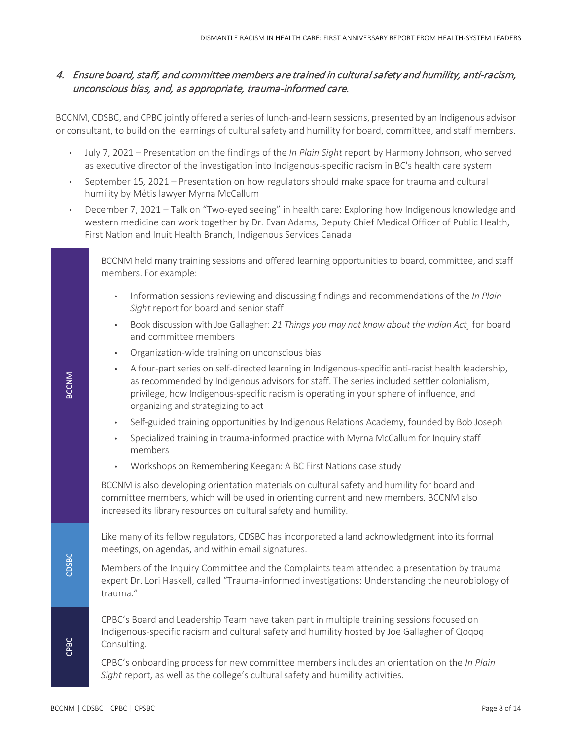# 4. Ensure board, staff, and committee members are trained in cultural safety and humility, anti-racism, unconscious bias, and, as appropriate, trauma-informed care.

BCCNM, CDSBC, and CPBC jointly offered a series of lunch-and-learn sessions, presented by an Indigenous advisor or consultant, to build on the learnings of cultural safety and humility for board, committee, and staff members.

- July 7, 2021 Presentation on the findings of the *In Plain Sight* report by Harmony Johnson, who served as executive director of the investigation into Indigenous-specific racism in BC's health care system
- September 15, 2021 Presentation on how regulators should make space for trauma and cultural humility by Métis lawyer Myrna McCallum
- December 7, 2021 Talk on "Two-eyed seeing" in health care: Exploring how Indigenous knowledge and western medicine can work together by Dr. Evan Adams, Deputy Chief Medical Officer of Public Health, First Nation and Inuit Health Branch, Indigenous Services Canada

BCCNM held many training sessions and offered learning opportunities to board, committee, and staff members. For example:

- Information sessions reviewing and discussing findings and recommendations of the *In Plain Sight* report for board and senior staff
- Book discussion with Joe Gallagher: *21 Things you may not know about the Indian Act¸* for board and committee members
- Organization-wide training on unconscious bias
- A four-part series on self-directed learning in Indigenous-specific anti-racist health leadership, as recommended by Indigenous advisors for staff. The series included settler colonialism, privilege, how Indigenous-specific racism is operating in your sphere of influence, and organizing and strategizing to act
- Self-guided training opportunities by Indigenous Relations Academy, founded by Bob Joseph
- Specialized training in trauma-informed practice with Myrna McCallum for Inquiry staff members
- Workshops on Remembering Keegan: A BC First Nations case study

BCCNM is also developing orientation materials on cultural safety and humility for board and committee members, which will be used in orienting current and new members. BCCNM also increased its library resources on cultural safety and humility.

Like many of its fellow regulators, CDSBC has incorporated a land acknowledgment into its formal meetings, on agendas, and within email signatures.

Members of the Inquiry Committee and the Complaints team attended a presentation by trauma expert Dr. Lori Haskell, called "Trauma-informed investigations: Understanding the neurobiology of trauma."

CPBC's Board and Leadership Team have taken part in multiple training sessions focused on Indigenous-specific racism and cultural safety and humility hosted by Joe Gallagher of Qoqoq Consulting.

CPBC's onboarding process for new committee members includes an orientation on the *In Plain Sight* report, as well as the college's cultural safety and humility activities.

BCCNM

CDSBC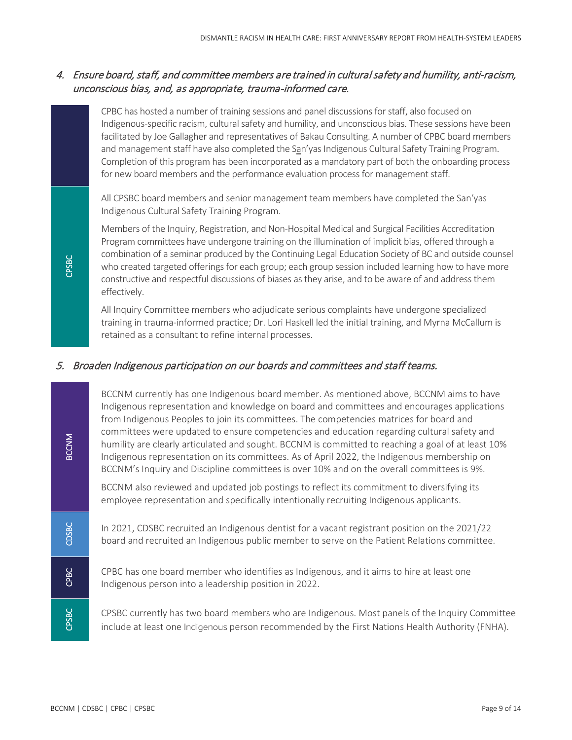# 4. Ensure board, staff, and committee members are trained in cultural safety and humility, anti-racism, unconscious bias, and, as appropriate, trauma-informed care.

CPBC has hosted a number of training sessions and panel discussions for staff, also focused on Indigenous-specific racism, cultural safety and humility, and unconscious bias. These sessions have been facilitated by Joe Gallagher and representatives of Bakau Consulting. A number of CPBC board members and management staff have also completed the San'yas Indigenous Cultural Safety Training Program. Completion of this program has been incorporated as a mandatory part of both the onboarding process for new board members and the performance evaluation process for management staff.

All CPSBC board members and senior management team members have completed the San'yas Indigenous Cultural Safety Training Program.

Members of the Inquiry, Registration, and Non-Hospital Medical and Surgical Facilities Accreditation Program committees have undergone training on the illumination of implicit bias, offered through a combination of a seminar produced by the Continuing Legal Education Society of BC and outside counsel who created targeted offerings for each group; each group session included learning how to have more constructive and respectful discussions of biases as they arise, and to be aware of and address them effectively.

All Inquiry Committee members who adjudicate serious complaints have undergone specialized training in trauma-informed practice; Dr. Lori Haskell led the initial training, and Myrna McCallum is retained as a consultant to refine internal processes.

#### 5. Broaden Indigenous participation on our boards and committees and staff teams.

BCCNM currently has one Indigenous board member. As mentioned above, BCCNM aims to have Indigenous representation and knowledge on board and committees and encourages applications from Indigenous Peoples to join its committees. The competencies matrices for board and committees were updated to ensure competencies and education regarding cultural safety and humility are clearly articulated and sought. BCCNM is committed to reaching a goal of at least 10% Indigenous representation on its committees. As of April 2022, the Indigenous membership on BCCNM's Inquiry and Discipline committees is over 10% and on the overall committees is 9%.

BCCNM also reviewed and updated job postings to reflect its commitment to diversifying its employee representation and specifically intentionally recruiting Indigenous applicants.

In 2021, CDSBC recruited an Indigenous dentist for a vacant registrant position on the 2021/22 board and recruited an Indigenous public member to serve on the Patient Relations committee.

CPBC has one board member who identifies as Indigenous, and it aims to hire at least one Indigenous person into a leadership position in 2022.

CPSBC currently has two board members who are Indigenous. Most panels of the Inquiry Committee include at least one Indigenous person recommended by the First Nations Health Authority (FNHA).

CPSBC

BCCNM

CDSBC

CPBC

CPSBC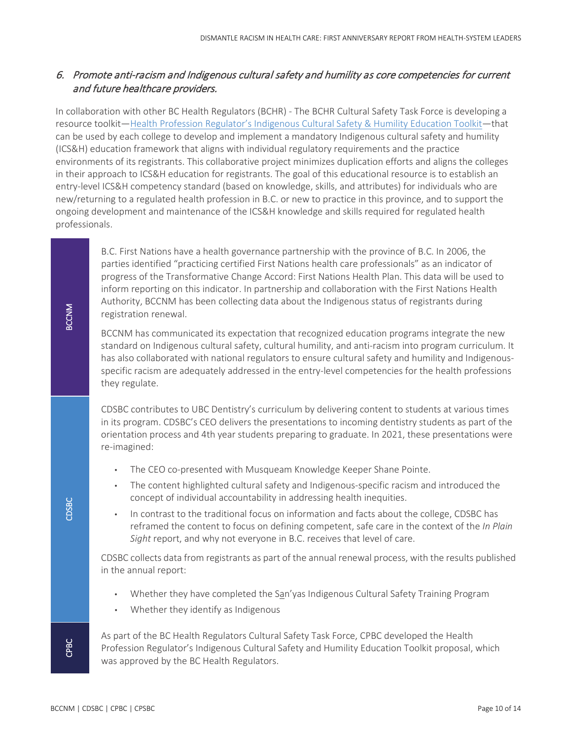# 6. Promote anti-racism and Indigenous cultural safety and humility as core competencies for current and future healthcare providers.

In collaboration with other BC Health Regulators (BCHR) - The BCHR Cultural Safety Task Force is developing a resource toolkit[—Health Profession Regulator's Indigenous Cultural Safety & Humility Education Toolkit—](https://bchealthregulators.ca/indigenous-cultural-safety-humility-education-toolkit/)that can be used by each college to develop and implement a mandatory Indigenous cultural safety and humility (ICS&H) education framework that aligns with individual regulatory requirements and the practice environments of its registrants. This collaborative project minimizes duplication efforts and aligns the colleges in their approach to ICS&H education for registrants. The goal of this educational resource is to establish an entry-level ICS&H competency standard (based on knowledge, skills, and attributes) for individuals who are new/returning to a regulated health profession in B.C. or new to practice in this province, and to support the ongoing development and maintenance of the ICS&H knowledge and skills required for regulated health professionals.

B.C. First Nations have a health governance partnership with the province of B.C. In 2006, the parties identified "practicing certified First Nations health care professionals" as an indicator of progress of the Transformative Change Accord: First Nations Health Plan. This data will be used to inform reporting on this indicator. In partnership and collaboration with the First Nations Health Authority, BCCNM has been collecting data about the Indigenous status of registrants during registration renewal.

BCCNM has communicated its expectation that recognized education programs integrate the new standard on Indigenous cultural safety, cultural humility, and anti-racism into program curriculum. It has also collaborated with national regulators to ensure cultural safety and humility and Indigenousspecific racism are adequately addressed in the entry-level competencies for the health professions they regulate.

CDSBC contributes to UBC Dentistry's curriculum by delivering content to students at various times in its program. CDSBC's CEO delivers the presentations to incoming dentistry students as part of the orientation process and 4th year students preparing to graduate. In 2021, these presentations were re-imagined:

- The CEO co-presented with Musqueam Knowledge Keeper Shane Pointe.
- The content highlighted cultural safety and Indigenous-specific racism and introduced the concept of individual accountability in addressing health inequities.
- In contrast to the traditional focus on information and facts about the college, CDSBC has reframed the content to focus on defining competent, safe care in the context of the *In Plain Sight* report, and why not everyone in B.C. receives that level of care.

CDSBC collects data from registrants as part of the annual renewal process, with the results published in the annual report:

- Whether they have completed the San'yas Indigenous Cultural Safety Training Program
- Whether they identify as Indigenous

As part of the BC Health Regulators Cultural Safety Task Force, CPBC developed the Health Profession Regulator's Indigenous Cultural Safety and Humility Education Toolkit proposal, which was approved by the BC Health Regulators.

BCCNM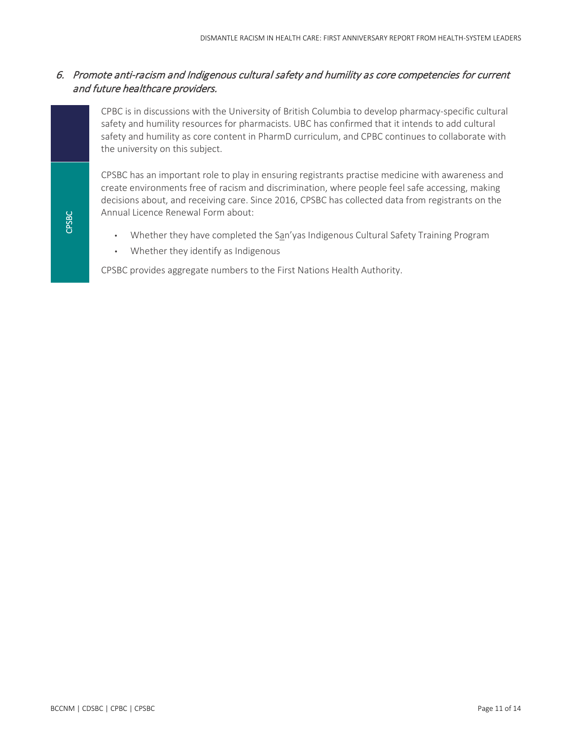#### 6. Promote anti-racism and Indigenous cultural safety and humility as core competencies for current and future healthcare providers.

CPBC is in discussions with the University of British Columbia to develop pharmacy-specific cultural safety and humility resources for pharmacists. UBC has confirmed that it intends to add cultural safety and humility as core content in PharmD curriculum, and CPBC continues to collaborate with the university on this subject.

CPSBC has an important role to play in ensuring registrants practise medicine with awareness and create environments free of racism and discrimination, where people feel safe accessing, making decisions about, and receiving care. Since 2016, CPSBC has collected data from registrants on the Annual Licence Renewal Form about:

- Whether they have completed the San'yas Indigenous Cultural Safety Training Program
- Whether they identify as Indigenous

CPSBC provides aggregate numbers to the First Nations Health Authority.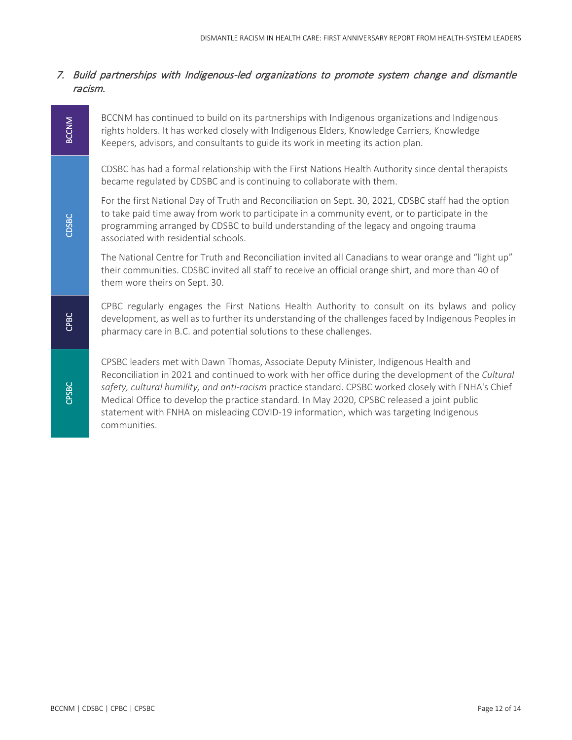#### 7. Build partnerships with Indigenous-led organizations to promote system change and dismantle racism.

BCCNM has continued to build on its partnerships with Indigenous organizations and Indigenous rights holders. It has worked closely with Indigenous Elders, Knowledge Carriers, Knowledge Keepers, advisors, and consultants to guide its work in meeting its action plan.

CDSBC has had a formal relationship with the First Nations Health Authority since dental therapists became regulated by CDSBC and is continuing to collaborate with them.

For the first National Day of Truth and Reconciliation on Sept. 30, 2021, CDSBC staff had the option to take paid time away from work to participate in a community event, or to participate in the programming arranged by CDSBC to build understanding of the legacy and ongoing trauma associated with residential schools.

The National Centre for Truth and Reconciliation invited all Canadians to wear orange and "light up" their communities. CDSBC invited all staff to receive an official orange shirt, and more than 40 of them wore theirs on Sept. 30.

CPBC regularly engages the First Nations Health Authority to consult on its bylaws and policy development, as well as to further its understanding of the challenges faced by Indigenous Peoples in pharmacy care in B.C. and potential solutions to these challenges.

CPSBC leaders met with Dawn Thomas, Associate Deputy Minister, Indigenous Health and Reconciliation in 2021 and continued to work with her office during the development of the *Cultural safety, cultural humility, and anti-racism* practice standard. CPSBC worked closely with FNHA's Chief Medical Office to develop the practice standard. In May 2020, CPSBC released a joint public statement with FNHA on misleading COVID-19 information, which was targeting Indigenous communities.

CPBC

**BCCNM**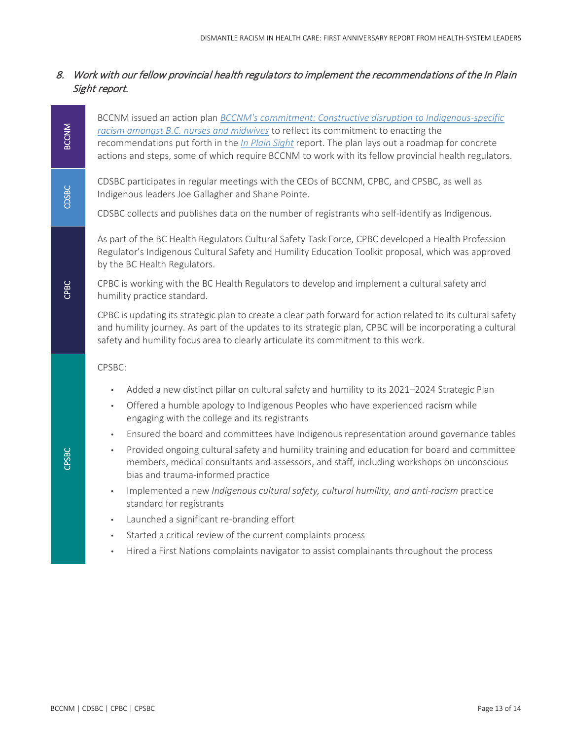# 8. Work with our fellow provincial health regulators to implement the recommendations of the In Plain Sight report.

BCCNM issued an action plan *[BCCNM's commitment: Constructive disruption to Indigenous-specific](https://www.bccnm.ca/Documents/cultural_safety_humility/Constructive_Disruption_BCCNM_Commitment_to_Action.pdf)  racism amongst B.C. [nurses and midwives](https://www.bccnm.ca/Documents/cultural_safety_humility/Constructive_Disruption_BCCNM_Commitment_to_Action.pdf)* to reflect its commitment to enacting the recommendations put forth in the *[In Plain Sight](https://engage.gov.bc.ca/addressingracism/)* report. The plan lays out a roadmap for concrete actions and steps, some of which require BCCNM to work with its fellow provincial health regulators.

CDSBC participates in regular meetings with the CEOs of BCCNM, CPBC, and CPSBC, as well as Indigenous leaders Joe Gallagher and Shane Pointe.

CDSBC collects and publishes data on the number of registrants who self-identify as Indigenous.

As part of the BC Health Regulators Cultural Safety Task Force, CPBC developed a Health Profession Regulator's Indigenous Cultural Safety and Humility Education Toolkit proposal, which was approved by the BC Health Regulators.

CPBC is working with the BC Health Regulators to develop and implement a cultural safety and humility practice standard.

CPBC is updating its strategic plan to create a clear path forward for action related to its cultural safety and humility journey. As part of the updates to its strategic plan, CPBC will be incorporating a cultural safety and humility focus area to clearly articulate its commitment to this work.

CPSBC:

- Added a new distinct pillar on cultural safety and humility to its 2021–2024 Strategic Plan
- Offered a humble apology to Indigenous Peoples who have experienced racism while engaging with the college and its registrants
- Ensured the board and committees have Indigenous representation around governance tables
- Provided ongoing cultural safety and humility training and education for board and committee members, medical consultants and assessors, and staff, including workshops on unconscious bias and trauma-informed practice
- Implemented a new *Indigenous cultural safety, cultural humility, and anti-racism* practice standard for registrants
- Launched a significant re-branding effort
- Started a critical review of the current complaints process
- Hired a First Nations complaints navigator to assist complainants throughout the process

BCCNM

CDSBC